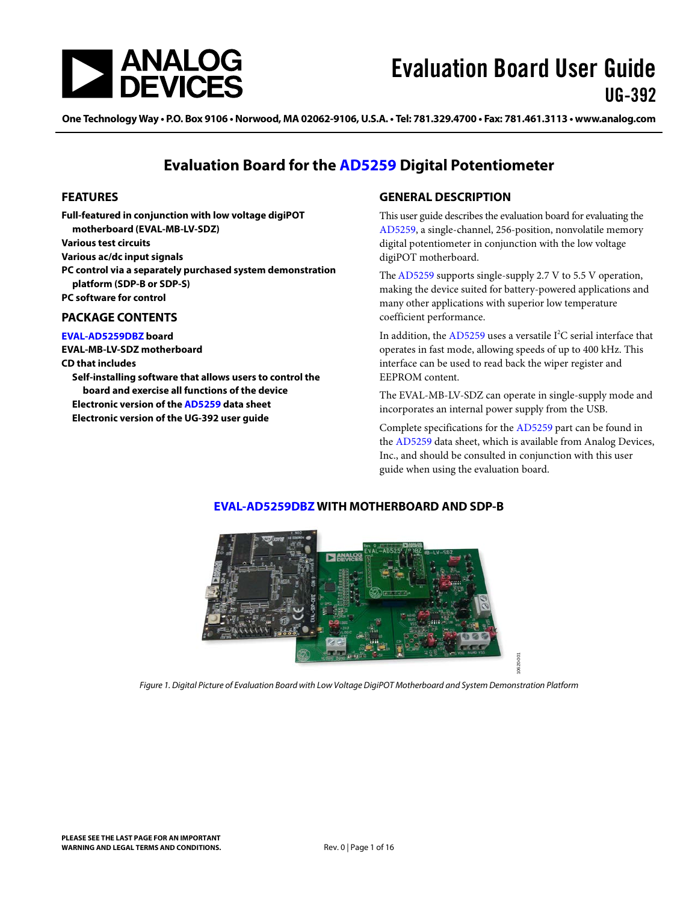

One Technology Way • P.O. Box 9106 • Norwood, MA 02062-9106, U.S.A. • Tel: 781.329.4700 • Fax: 781.461.3113 • www.analog.com

## **Evaluation Board for the [AD5259](http://www.analog.com/ad5259) Digital Potentiometer**

#### <span id="page-0-0"></span>**FEATURES**

**Full-featured in conjunction with low voltage digiPOT motherboard (EVAL-MB-LV-SDZ) Various test circuits Various ac/dc input signals PC control via a separately purchased system demonstration platform (SDP-B or SDP-S) PC software for control**

#### <span id="page-0-1"></span>**PACKAGE CONTENTS**

**[EVAL-AD5259DBZ](http://www.analog.com/AD5259) board**

**EVAL-MB-LV-SDZ motherboard CD that includes**

<span id="page-0-3"></span>**Self-installing software that allows users to control the board and exercise all functions of the device Electronic version of the [AD5259](http://www.analog.com/ad5259) data sheet Electronic version of the UG-392 user guide**

#### <span id="page-0-2"></span>**GENERAL DESCRIPTION**

This user guide describes the evaluation board for evaluating the [AD5259,](http://www.analog.com/ad5259) a single-channel, 256-position, nonvolatile memory digital potentiometer in conjunction with the low voltage digiPOT motherboard.

Th[e AD5259](http://www.analog.com/ad5259) supports single-supply 2.7 V to 5.5 V operation, making the device suited for battery-powered applications and many other applications with superior low temperature coefficient performance.

In addition, the  $AD5259$  uses a versatile I<sup>2</sup>C serial interface that operates in fast mode, allowing speeds of up to 400 kHz. This interface can be used to read back the wiper register and EEPROM content.

The EVAL-MB-LV-SDZ can operate in single-supply mode and incorporates an internal power supply from the USB.

Complete specifications for the [AD5259](http://www.analog.com/ad5259) part can be found in the [AD5259](http://www.analog.com/ad5259) data sheet, which is available from Analog Devices, Inc., and should be consulted in conjunction with this user guide when using the evaluation board.

10620-001



#### **[EVAL-AD5259DBZ](http://www.analog.com/AD5259) WITH MOTHERBOARD AND SDP-B**

*Figure 1. Digital Picture of Evaluation Board with Low Voltage DigiPOT Motherboard and System Demonstration Platform*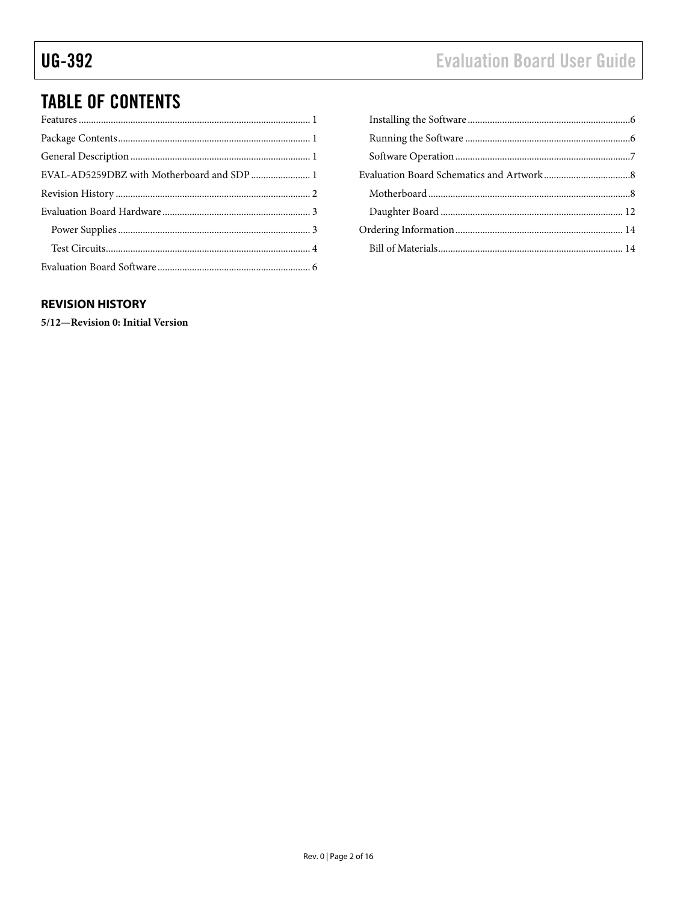# **Evaluation Board User Guide**

# **TABLE OF CONTENTS**

#### <span id="page-1-0"></span>**REVISION HISTORY**

5/12-Revision 0: Initial Version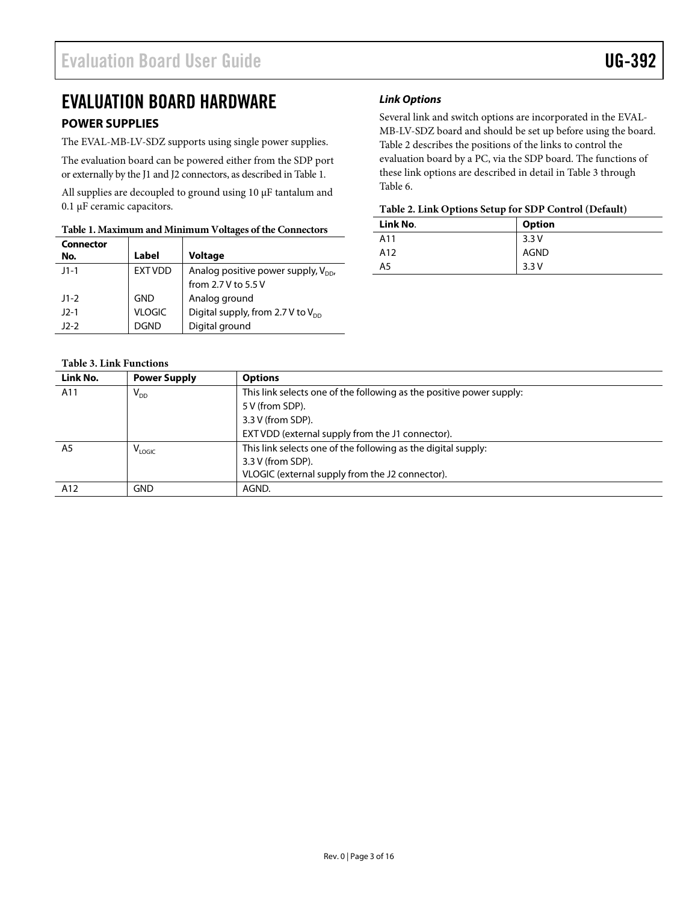# <span id="page-2-0"></span>EVALUATION BOARD HARDWARE

#### <span id="page-2-1"></span>**POWER SUPPLIES**

The EVAL-MB-LV-SDZ supports using single power supplies.

The evaluation board can be powered either from the SDP port or externally by the J1 and J2 connectors, as described i[n Table 1.](#page-2-2)

All supplies are decoupled to ground using 10  $\mu$ F tantalum and 0.1 µF ceramic capacitors.

#### <span id="page-2-2"></span>**Table 1. Maximum and Minimum Voltages of the Connectors**

| <b>Connector</b> |               |                                               |
|------------------|---------------|-----------------------------------------------|
| No.              | Label         | <b>Voltage</b>                                |
| $11 - 1$         | EXT VDD       | Analog positive power supply, $V_{\text{DD}}$ |
|                  |               | from 2.7 V to 5.5 V                           |
| $11-2$           | <b>GND</b>    | Analog ground                                 |
| $12 - 1$         | <b>VLOGIC</b> | Digital supply, from 2.7 V to $V_{DD}$        |
| $12-2$           | <b>DGND</b>   | Digital ground                                |

#### *Link Options*

Several link and switch options are incorporated in the EVAL-MB-LV-SDZ board and should be set up before using the board. [Table 2](#page-2-3) describes the positions of the links to control the evaluation board by a PC, via the SDP board. The functions of these link options are described in detail in [Table 3](#page-2-4) through [Table 6.](#page-4-0)

#### <span id="page-2-3"></span>**Table 2. Link Options Setup for SDP Control (Default)**

| Link No. | <b>Option</b> |
|----------|---------------|
| A11      | 3.3V          |
| A12      | <b>AGND</b>   |
| A5       | 3.3V          |

#### <span id="page-2-4"></span>**Table 3. Link Functions**

| Link No.       | <b>Power Supply</b> | <b>Options</b>                                                       |  |
|----------------|---------------------|----------------------------------------------------------------------|--|
| A11            | $V_{DD}$            | This link selects one of the following as the positive power supply: |  |
|                |                     | 5 V (from SDP).                                                      |  |
|                |                     | 3.3 V (from SDP).                                                    |  |
|                |                     | EXT VDD (external supply from the J1 connector).                     |  |
| A <sub>5</sub> | V <sub>LOGIC</sub>  | This link selects one of the following as the digital supply:        |  |
|                |                     | 3.3 V (from SDP).                                                    |  |
|                |                     | VLOGIC (external supply from the J2 connector).                      |  |
| A12            | <b>GND</b>          | AGND.                                                                |  |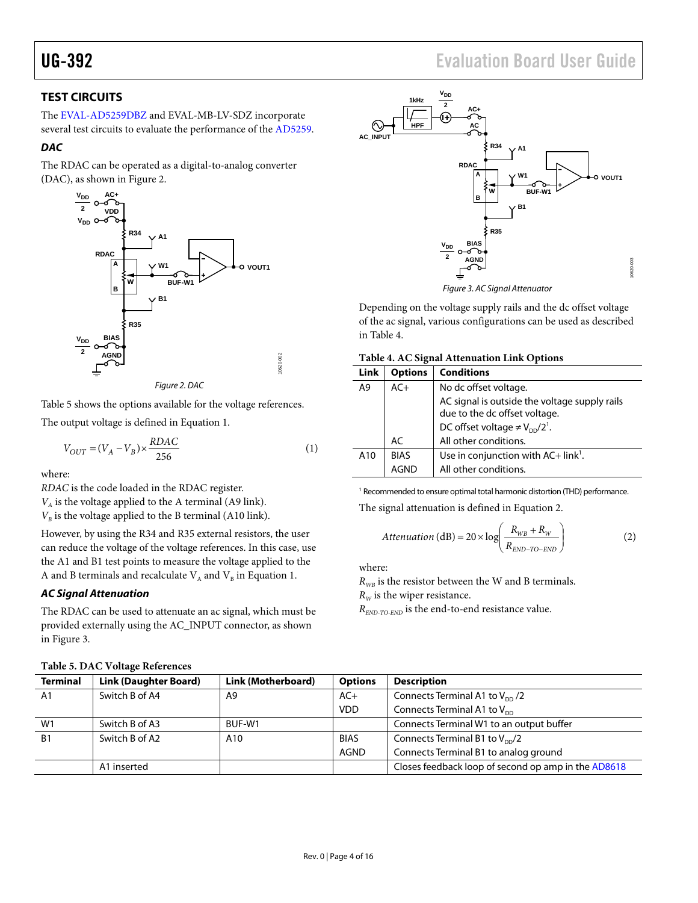#### <span id="page-3-0"></span>**TEST CIRCUITS**

The [EVAL-AD5259DBZ](http://www.analog.com/AD5259) and EVAL-MB-LV-SDZ incorporate several test circuits to evaluate the performance of the [AD5259.](http://www.analog.com/static/imported-files/data_sheets/AD5171.pdf)

#### *DAC*

The RDAC can be operated as a digital-to-analog converter (DAC), as shown in [Figure 2.](#page-3-1)



*Figure 2. DAC*

<span id="page-3-1"></span>[Table 5](#page-3-2) shows the options available for the voltage references.

The output voltage is defined in Equation 1.

$$
V_{OUT} = (V_A - V_B) \times \frac{RDAC}{256}
$$
 (1)

where:

*RDAC* is the code loaded in the RDAC register.

 $V_A$  is the voltage applied to the A terminal (A9 link).

 $V_B$  is the voltage applied to the B terminal (A10 link).

However, by using the R34 and R35 external resistors, the user can reduce the voltage of the voltage references. In this case, use the A1 and B1 test points to measure the voltage applied to the A and B terminals and recalculate  $\rm V_{_A}$  and  $\rm V_{_B}$  in Equation 1.

#### *AC Signal Attenuation*

The RDAC can be used to attenuate an ac signal, which must be provided externally using the AC\_INPUT connector, as shown in [Figure 3.](#page-3-3)

<span id="page-3-2"></span>

| <b>Table 5. DAC Voltage References</b> |
|----------------------------------------|
|----------------------------------------|



*Figure 3. AC Signal Attenuator*

<span id="page-3-3"></span>Depending on the voltage supply rails and the dc offset voltage of the ac signal, various configurations can be used as described in [Table 4.](#page-3-4)

<span id="page-3-4"></span>

| Table 4. AC Signal Attenuation Link Options |  |  |  |
|---------------------------------------------|--|--|--|
|---------------------------------------------|--|--|--|

| <b>Link</b> | <b>Options</b> | <b>Conditions</b>                                          |  |
|-------------|----------------|------------------------------------------------------------|--|
| A9          | $AC+$          | No dc offset voltage.                                      |  |
|             |                | AC signal is outside the voltage supply rails              |  |
|             |                | due to the dc offset voltage.                              |  |
|             |                | DC offset voltage $\neq$ V <sub>pp</sub> /2 <sup>1</sup> . |  |
|             | AC             | All other conditions.                                      |  |
| A10         | <b>BIAS</b>    | Use in conjunction with $AC + link^1$ .                    |  |
|             |                | All other conditions.                                      |  |

<sup>1</sup> Recommended to ensure optimal total harmonic distortion (THD) performance.

The signal attenuation is defined in Equation 2.

$$
Attention (dB) = 20 \times \log \left( \frac{R_{WB} + R_{W}}{R_{END-TO-END}} \right)
$$
 (2)

where:

 $R_{WB}$  is the resistor between the W and B terminals.  $R_W$  is the wiper resistance.

*REND-TO-END* is the end-to-end resistance value.

|                                                                                                | Twore of DITC + onthe References |                    |                |                                                     |
|------------------------------------------------------------------------------------------------|----------------------------------|--------------------|----------------|-----------------------------------------------------|
| <b>Terminal</b>                                                                                | Link (Daughter Board)            | Link (Motherboard) | <b>Options</b> | <b>Description</b>                                  |
| A1                                                                                             | Switch B of A4                   | A9                 | $AC+$          | Connects Terminal A1 to $V_{DD}$ /2                 |
|                                                                                                |                                  |                    | <b>VDD</b>     | Connects Terminal A1 to $V_{\text{DD}}$             |
| W1                                                                                             | Switch B of A3                   | BUF-W1             |                | Connects Terminal W1 to an output buffer            |
| Switch B of A2<br><b>B1</b><br>Connects Terminal B1 to $V_{\text{DD}}/2$<br><b>BIAS</b><br>A10 |                                  |                    |                |                                                     |
|                                                                                                |                                  |                    | <b>AGND</b>    | Connects Terminal B1 to analog ground               |
|                                                                                                | A1 inserted                      |                    |                | Closes feedback loop of second op amp in the AD8618 |
|                                                                                                |                                  |                    |                |                                                     |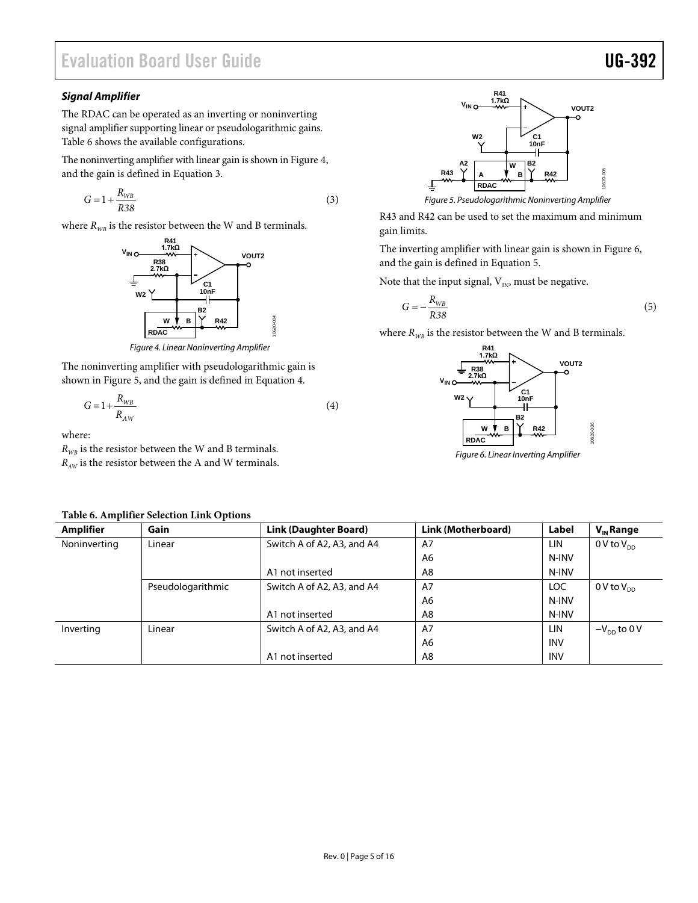#### *Signal Amplifier*

The RDAC can be operated as an inverting or noninverting signal amplifier supporting linear or pseudologarithmic gains. [Table 6](#page-4-0) shows the available configurations.

The noninverting amplifier with linear gain is shown i[n Figure 4,](#page-4-1) and the gain is defined in Equation 3.

$$
G = 1 + \frac{R_{WB}}{R38} \tag{3}
$$

where  $R_{WB}$  is the resistor between the W and B terminals.



*Figure 4. Linear Noninverting Amplifier*

<span id="page-4-1"></span>The noninverting amplifier with pseudologarithmic gain is shown in [Figure 5,](#page-4-2) and the gain is defined in Equation 4.

$$
G = 1 + \frac{R_{WB}}{R_{AW}}\tag{4}
$$

10620-004

where:

 $R_{WB}$  is the resistor between the W and B terminals.  $R_{\text{AW}}$  is the resistor between the A and W terminals.

| R41<br>1.7 $k\Omega$<br>$V_{INC}$<br>٠<br>VOUT2                                                    |           |
|----------------------------------------------------------------------------------------------------|-----------|
| <b>W2</b><br>C1<br>10 <sub>nF</sub><br>А2<br><b>B2</b><br>w<br>R43<br>R42<br>в<br>А<br><b>RDAC</b> | 10620-005 |
| Figure 5. Pseudologarithmic Noninverting Amplifier                                                 |           |

<span id="page-4-2"></span>R43 and R42 can be used to set the maximum and minimum gain limits.

The inverting amplifier with linear gain is shown in [Figure 6,](#page-4-3) and the gain is defined in Equation 5.

Note that the input signal,  $\mathbf{V}_{\text{IN}}$  must be negative.

$$
G = -\frac{R_{WB}}{R38} \tag{5}
$$

where  $R_{WB}$  is the resistor between the W and B terminals.



<span id="page-4-3"></span>*Figure 6. Linear Inverting Amplifier*

| Table of Amplifier Sciection Link Options |                   |                              |                    |            |                        |
|-------------------------------------------|-------------------|------------------------------|--------------------|------------|------------------------|
| <b>Amplifier</b>                          | Gain              | <b>Link (Daughter Board)</b> | Link (Motherboard) | Label      | $V_{\text{in}}$ Range  |
| Noninverting                              | Linear            | Switch A of A2, A3, and A4   | A7                 | <b>LIN</b> | 0 V to $V_{\text{nn}}$ |
|                                           |                   |                              | A6                 | N-INV      |                        |
|                                           |                   | A1 not inserted              | A8                 | N-INV      |                        |
|                                           | Pseudologarithmic | Switch A of A2, A3, and A4   | A7                 | LOC        | 0 V to $V_{\text{nn}}$ |
|                                           |                   |                              | A6                 | N-INV      |                        |
|                                           |                   | A1 not inserted              | A8                 | N-INV      |                        |
| Inverting                                 | Linear            | Switch A of A2, A3, and A4   | A7                 | <b>LIN</b> | $-V_{DD}$ to 0 V       |
|                                           |                   |                              | A6                 | <b>INV</b> |                        |
|                                           |                   | A1 not inserted              | A8                 | <b>INV</b> |                        |

#### <span id="page-4-0"></span>**Table 6. Amplifier Selection Link Options**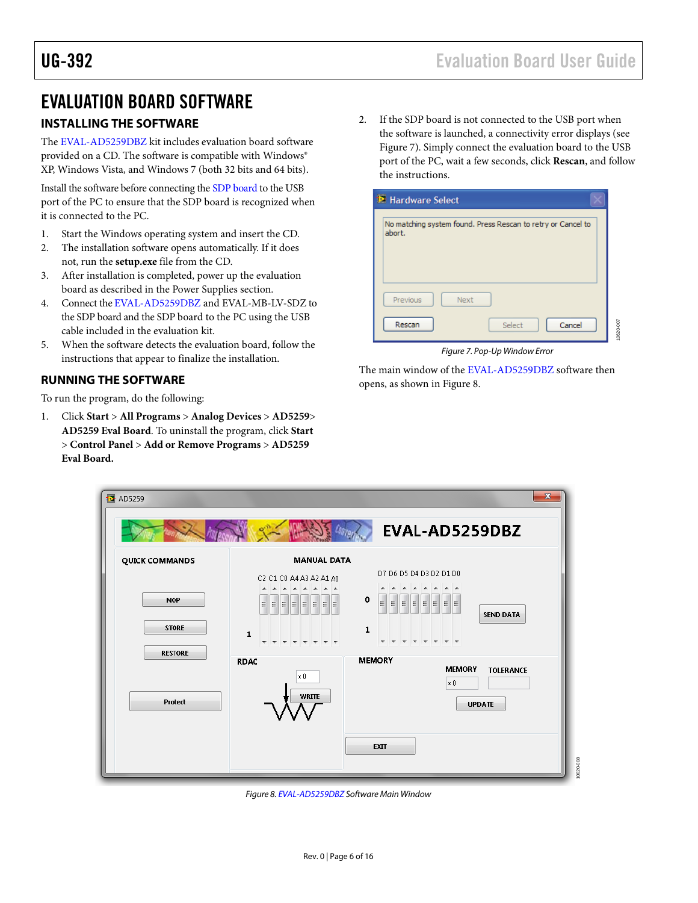# <span id="page-5-0"></span>EVALUATION BOARD SOFTWARE

#### <span id="page-5-1"></span>**INSTALLING THE SOFTWARE**

The [EVAL-AD5259DBZ](http://www.analog.com/AD5259) kit includes evaluation board software provided on a CD. The software is compatible with Windows® XP, Windows Vista, and Windows 7 (both 32 bits and 64 bits).

Install the software before connecting the [SDP board](http://www.analog.com/sdp) to the USB port of the PC to ensure that the SDP board is recognized when it is connected to the PC.

- 1. Start the Windows operating system and insert the CD.
- 2. The installation software opens automatically. If it does not, run the **setup.exe** file from the CD.
- 3. After installation is completed, power up the evaluation board as described in the [Power Supplies](#page-2-1) section.
- 4. Connect th[e EVAL-AD5259DBZ](http://www.analog.com/AD5259) and EVAL-MB-LV-SDZ to the SDP board and the SDP board to the PC using the USB cable included in the evaluation kit.
- 5. When the software detects the evaluation board, follow the instructions that appear to finalize the installation.

#### <span id="page-5-2"></span>**RUNNING THE SOFTWARE**

To run the program, do the following:

1. Click **Start** > **All Programs** > **Analog Devices** > **AD5259**> **AD5259 Eval Board**. To uninstall the program, click **Start** > **Control Panel** > **Add or Remove Programs** > **AD5259 Eval Board.**

2. If the SDP board is not connected to the USB port when the software is launched, a connectivity error displays (see [Figure 7\)](#page-5-3). Simply connect the evaluation board to the USB port of the PC, wait a few seconds, click **Rescan**, and follow the instructions.

| Hardware Select                                                        |           |
|------------------------------------------------------------------------|-----------|
| No matching system found. Press Rescan to retry or Cancel to<br>abort. |           |
| Previous<br><b>Next</b><br>Rescan<br>Select<br>Cancel                  | 10620-007 |

*Figure 7. Pop-Up Window Error*

<span id="page-5-3"></span>The main window of th[e EVAL-AD5259DBZ](http://www.analog.com/AD5259) software then opens, as shown i[n Figure 8.](#page-5-4)

| <b>图 AD5259</b>            | $\mathbf{e}^{m}$                                                               | $\mathbf{x}$<br>EVAL-AD5259DBZ                                                                                         |
|----------------------------|--------------------------------------------------------------------------------|------------------------------------------------------------------------------------------------------------------------|
| QUICK COMMANDS             | <b>MANUAL DATA</b><br>C2 C1 C0 A4 A3 A2 A1 A0                                  | D7 D6 D5 D4 D3 D2 D1 D0<br>AA<br>$\overline{\phantom{a}}$<br>$\overline{\phantom{a}}$<br>×.                            |
| <b>NOP</b><br><b>STORE</b> | Ξ<br>E<br>E                                                                    | $\circ$<br>$\mathbf{E}$ $\mathbf{E}$ $\mathbf{E}$<br>$\equiv$<br>E<br>$E$ $E$<br>E<br><b>SEND DATA</b><br>$\mathbf{1}$ |
| <b>RESTORE</b>             | 1<br>$\overline{\phantom{a}}$<br>$\overline{\phantom{a}}$<br><b>RDAC</b><br>×O | <b>TTTTTTTTT</b><br><b>MEMORY</b><br><b>MEMORY</b><br><b>TOLERANCE</b>                                                 |
| Protect                    | <b>WRITE</b>                                                                   | $\mathbf{x} \mathbf{0}$<br><b>UPDATE</b>                                                                               |
|                            |                                                                                | <b>EXIT</b>                                                                                                            |

<span id="page-5-4"></span>*Figure 8[. EVAL-AD5259DBZ](http://www.analog.com/AD5259) Software Main Window*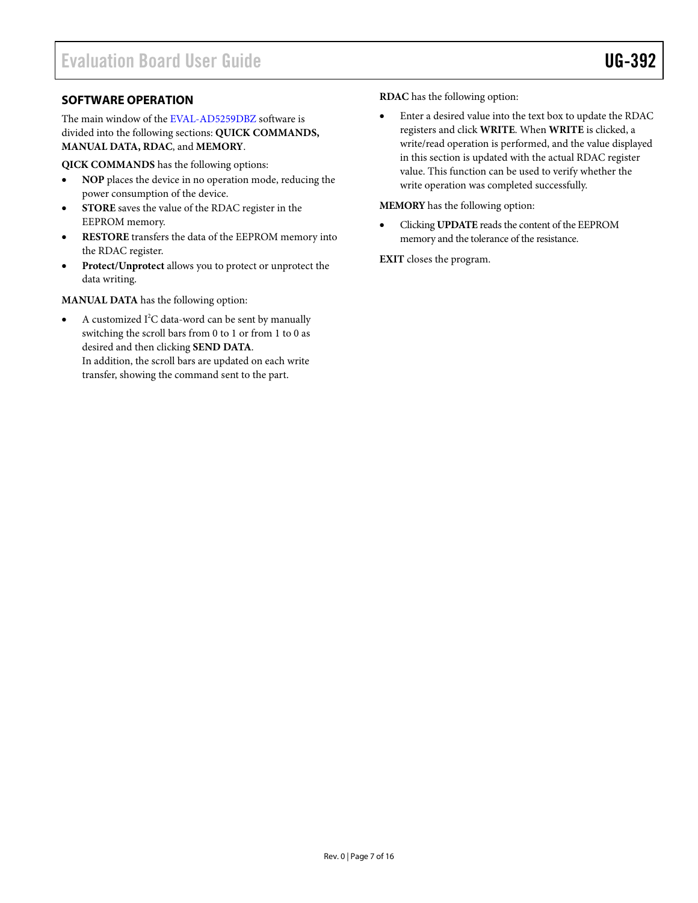#### <span id="page-6-0"></span>**SOFTWARE OPERATION**

The main window of th[e EVAL-AD5259DBZ](http://www.analog.com/AD5259) software is divided into the following sections: **QUICK COMMANDS, MANUAL DATA, RDAC**, and **MEMORY**.

**QICK COMMANDS** has the following options:

- **NOP** places the device in no operation mode, reducing the power consumption of the device.
- **STORE** saves the value of the RDAC register in the EEPROM memory.
- **RESTORE** transfers the data of the EEPROM memory into the RDAC register.
- **Protect/Unprotect** allows you to protect or unprotect the data writing.

**MANUAL DATA** has the following option:

• A customized  $I^2C$  data-word can be sent by manually switching the scroll bars from 0 to 1 or from 1 to 0 as desired and then clicking **SEND DATA**. In addition, the scroll bars are updated on each write transfer, showing the command sent to the part.

**RDAC** has the following option:

• Enter a desired value into the text box to update the RDAC registers and click **WRITE**. When **WRITE** is clicked, a write/read operation is performed, and the value displayed in this section is updated with the actual RDAC register value. This function can be used to verify whether the write operation was completed successfully.

**MEMORY** has the following option:

• Clicking **UPDATE** reads the content of the EEPROM memory and the tolerance of the resistance.

**EXIT** closes the program.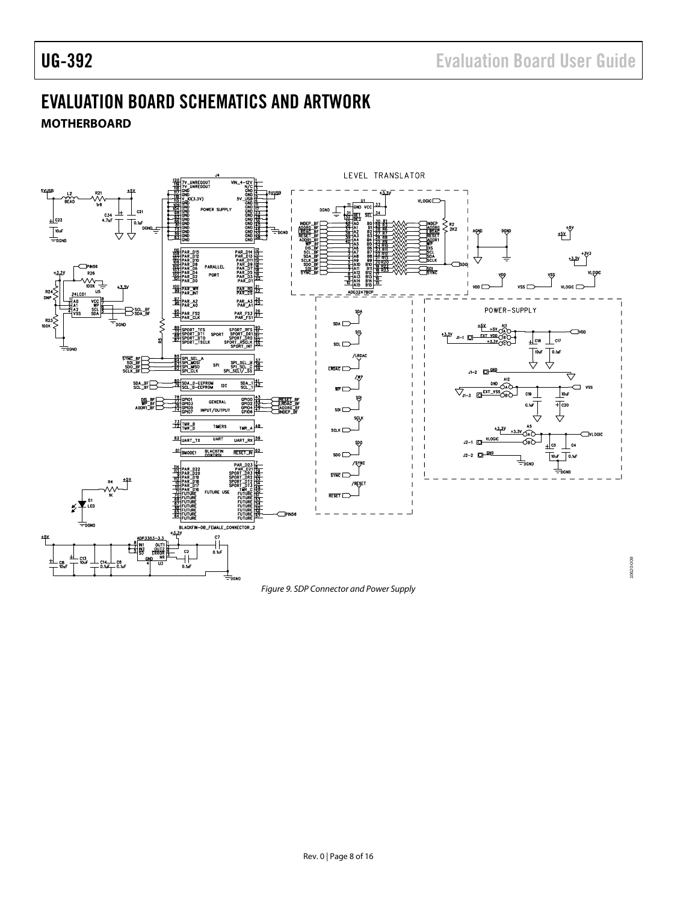# <span id="page-7-0"></span>EVALUATION BOARD SCHEMATICS AND ARTWORK

<span id="page-7-1"></span>



*Figure 9. SDP Connector and Power Supply*

10620-009 10620-009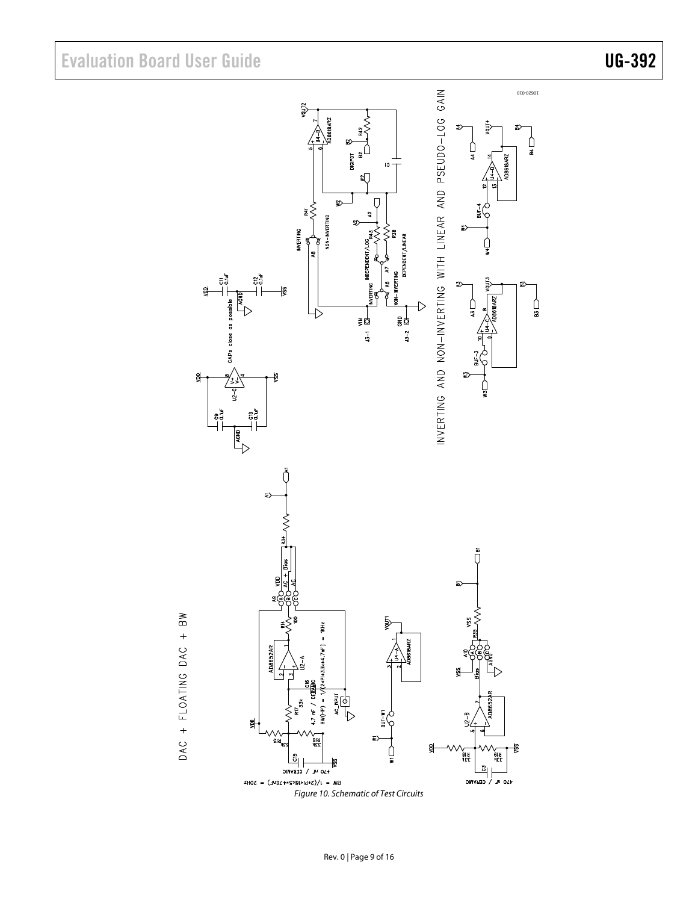Evaluation Board User Guide Contract Contract Contract Contract Contract Contract Contract Contract Contract Contract Contract Contract Contract Contract Contract Contract Contract Contract Contract Contract Contract Contr





DAC + FLOATING DAC + BW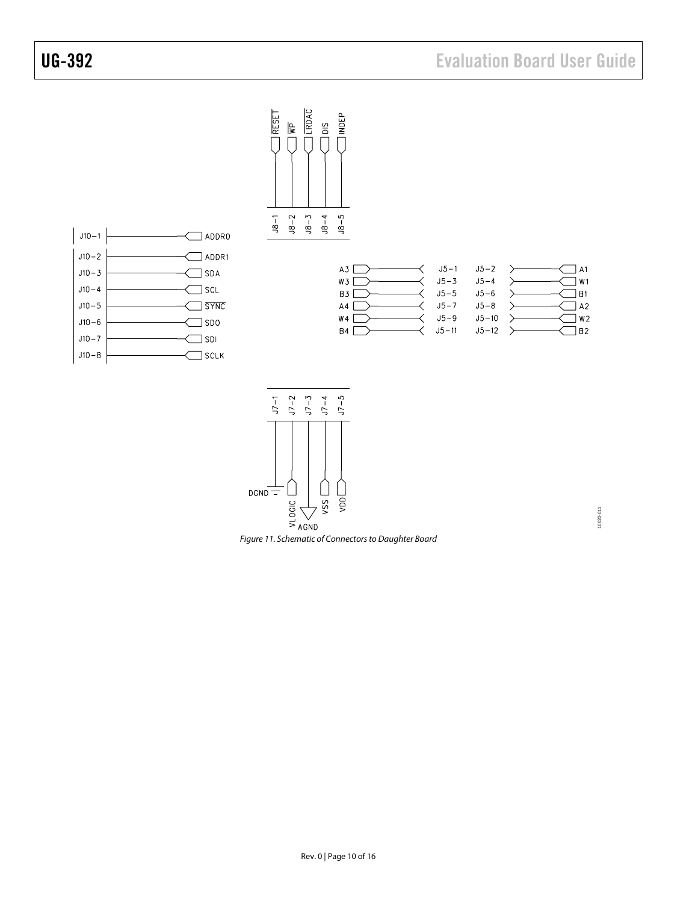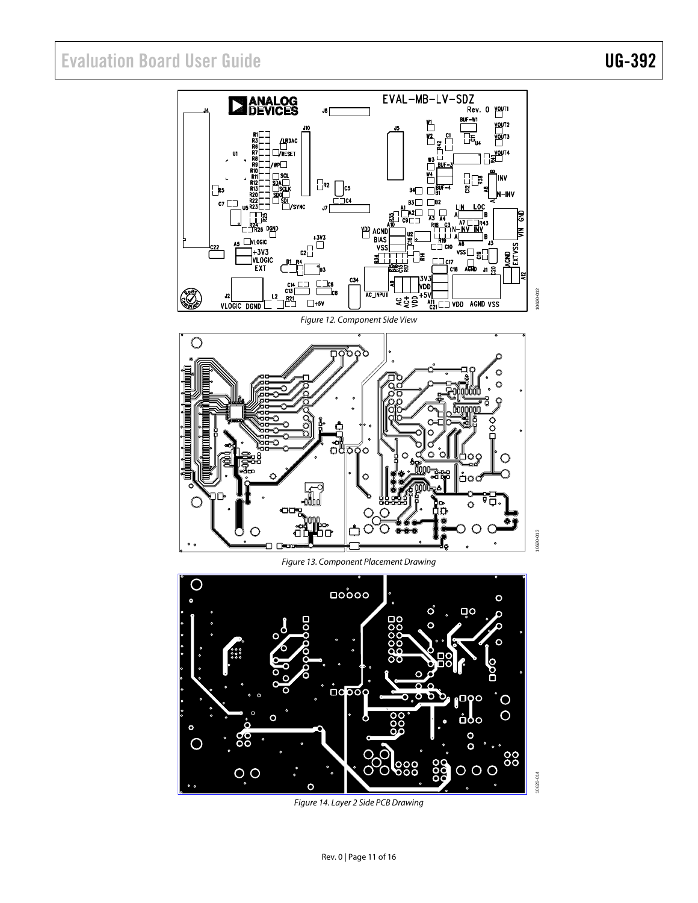# Evaluation Board User Guide Communication Control of Control of Control Control Control Control Control Control Control Control Control Control Control Control Control Control Control Control Control Control Control Contro



Figure 14. Layer 2 Side PCB Drawing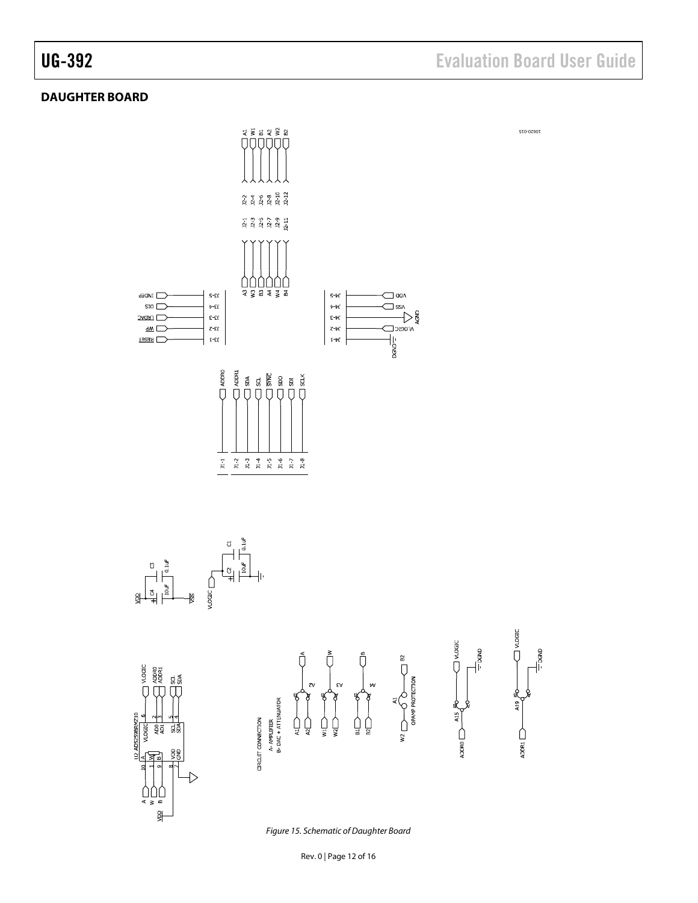10620-015

 $\bigcap$  vlogic

A19

**D** 

 $\frac{1}{2}$ 

#### <span id="page-11-0"></span>**DAUGHTER BOARD**

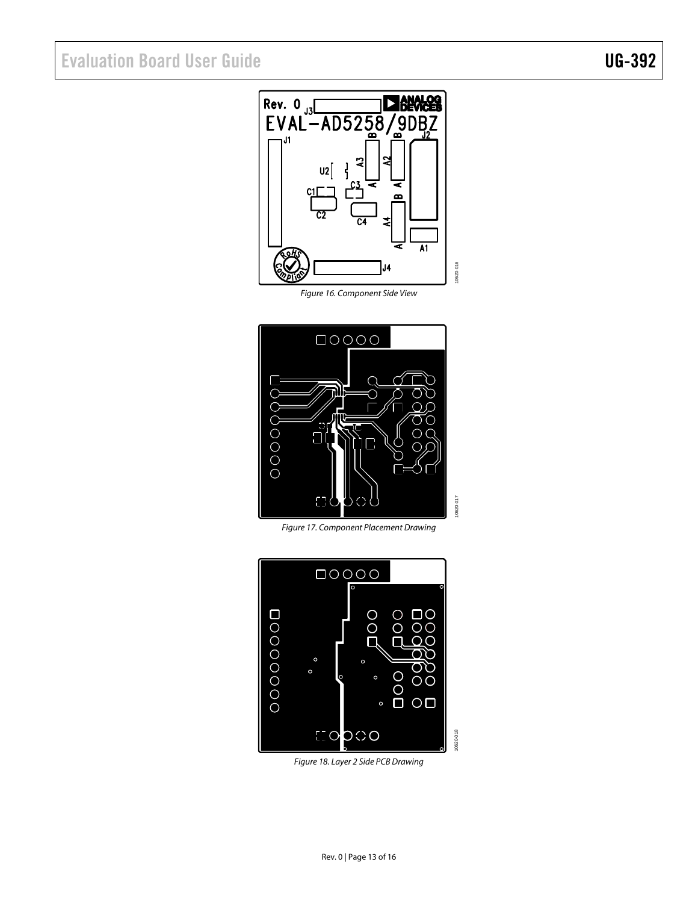# Evaluation Board User Guide Contract Contract Contract Contract Contract Contract Contract Contract Contract Contract Contract Contract Contract Contract Contract Contract Contract Contract Contract Contract Contract Contr

Rev. 0  $\frac{1}{100}$  Rev. 0  $\frac{1}{100}$  Rev. 0  $\frac{1}{100}$  RNAL - AD5258/9DB  $|02|$  $\overline{M}$ 10620-016 J4 10620-016

Figure 16. Component Side View



Figure 17. Component Placement Drawing



Figure 18. Layer 2 Side PCB Drawing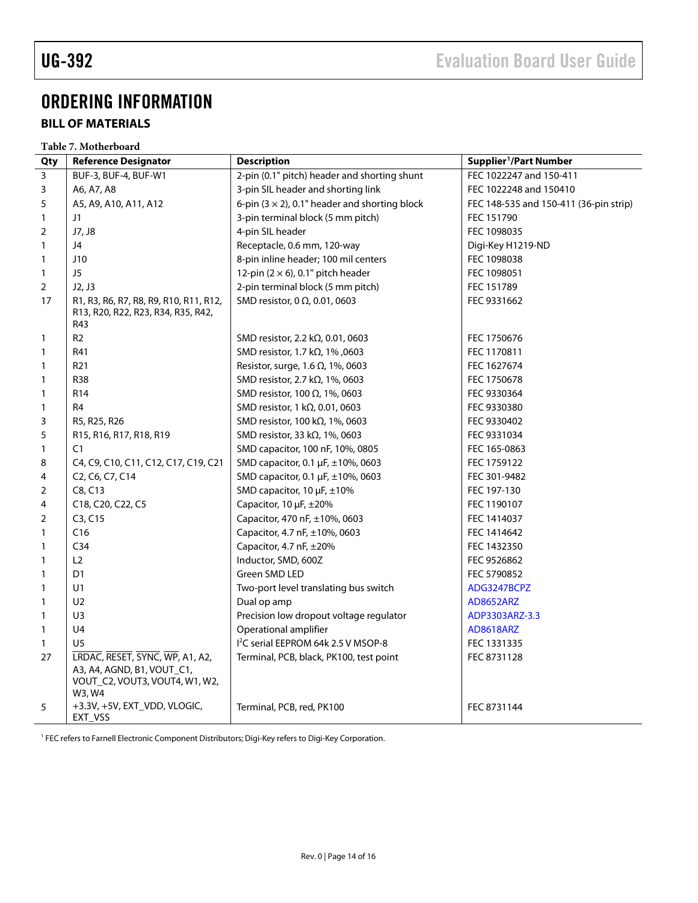# <span id="page-13-0"></span>ORDERING INFORMATION

### <span id="page-13-1"></span>**BILL OF MATERIALS**

|                | Table 7. Motherboard                                                                                      |                                                       |                                        |  |  |  |  |
|----------------|-----------------------------------------------------------------------------------------------------------|-------------------------------------------------------|----------------------------------------|--|--|--|--|
| Qty            | <b>Reference Designator</b>                                                                               | <b>Description</b>                                    | Supplier <sup>1</sup> /Part Number     |  |  |  |  |
| $\overline{3}$ | BUF-3, BUF-4, BUF-W1                                                                                      | 2-pin (0.1" pitch) header and shorting shunt          | FEC 1022247 and 150-411                |  |  |  |  |
| 3              | A6, A7, A8                                                                                                | 3-pin SIL header and shorting link                    | FEC 1022248 and 150410                 |  |  |  |  |
| 5              | A5, A9, A10, A11, A12                                                                                     | 6-pin $(3 \times 2)$ , 0.1" header and shorting block | FEC 148-535 and 150-411 (36-pin strip) |  |  |  |  |
| $\mathbf{1}$   | J1                                                                                                        | 3-pin terminal block (5 mm pitch)                     | FEC 151790                             |  |  |  |  |
| 2              | J7, J8                                                                                                    | 4-pin SIL header                                      | FEC 1098035                            |  |  |  |  |
| $\mathbf{1}$   | J4                                                                                                        | Receptacle, 0.6 mm, 120-way                           | Digi-Key H1219-ND                      |  |  |  |  |
| $\mathbf{1}$   | J10                                                                                                       | 8-pin inline header; 100 mil centers                  | FEC 1098038                            |  |  |  |  |
| $\mathbf{1}$   | J5                                                                                                        | 12-pin $(2 \times 6)$ , 0.1" pitch header             | FEC 1098051                            |  |  |  |  |
| $\overline{2}$ | J2, J3                                                                                                    | 2-pin terminal block (5 mm pitch)                     | FEC 151789                             |  |  |  |  |
| 17             | R1, R3, R6, R7, R8, R9, R10, R11, R12,<br>R13, R20, R22, R23, R34, R35, R42,                              | SMD resistor, 0 $\Omega$ , 0.01, 0603                 | FEC 9331662                            |  |  |  |  |
|                | R43                                                                                                       |                                                       |                                        |  |  |  |  |
| 1              | R <sub>2</sub>                                                                                            | SMD resistor, 2.2 k $\Omega$ , 0.01, 0603             | FEC 1750676                            |  |  |  |  |
| 1              | R41                                                                                                       | SMD resistor, 1.7 kΩ, 1%, 0603                        | FEC 1170811                            |  |  |  |  |
| 1              | R <sub>21</sub>                                                                                           | Resistor, surge, 1.6 $\Omega$ , 1%, 0603              | FEC 1627674                            |  |  |  |  |
| 1              | R38                                                                                                       | SMD resistor, 2.7 k $\Omega$ , 1%, 0603               | FEC 1750678                            |  |  |  |  |
| 1              | R <sub>14</sub>                                                                                           | SMD resistor, 100 $\Omega$ , 1%, 0603                 | FEC 9330364                            |  |  |  |  |
| $\mathbf{1}$   | R4                                                                                                        | SMD resistor, 1 kΩ, 0.01, 0603                        | FEC 9330380                            |  |  |  |  |
| 3              | R5, R25, R26                                                                                              | SMD resistor, 100 kΩ, 1%, 0603                        | FEC 9330402                            |  |  |  |  |
| 5              | R15, R16, R17, R18, R19                                                                                   | SMD resistor, 33 k $\Omega$ , 1%, 0603                | FEC 9331034                            |  |  |  |  |
| $\mathbf{1}$   | C1                                                                                                        | SMD capacitor, 100 nF, 10%, 0805                      | FEC 165-0863                           |  |  |  |  |
| 8              | C4, C9, C10, C11, C12, C17, C19, C21                                                                      | SMD capacitor, 0.1 µF, ±10%, 0603                     | FEC 1759122                            |  |  |  |  |
| 4              | C <sub>2</sub> , C <sub>6</sub> , C <sub>7</sub> , C <sub>14</sub>                                        | SMD capacitor, 0.1 µF, ±10%, 0603                     | FEC 301-9482                           |  |  |  |  |
| $\overline{2}$ | C8, C13                                                                                                   | SMD capacitor, 10 µF, ±10%                            | FEC 197-130                            |  |  |  |  |
| 4              | C18, C20, C22, C5                                                                                         | Capacitor, 10 µF, ±20%                                | FEC 1190107                            |  |  |  |  |
| $\overline{2}$ | C3, C15                                                                                                   | Capacitor, 470 nF, ±10%, 0603                         | FEC 1414037                            |  |  |  |  |
| $\mathbf{1}$   | C16                                                                                                       | Capacitor, 4.7 nF, ±10%, 0603                         | FEC 1414642                            |  |  |  |  |
| 1              | C <sub>34</sub>                                                                                           | Capacitor, 4.7 nF, ±20%                               | FEC 1432350                            |  |  |  |  |
| 1              | L2                                                                                                        | Inductor, SMD, 600Z                                   | FEC 9526862                            |  |  |  |  |
| 1              | D1                                                                                                        | Green SMD LED                                         | FEC 5790852                            |  |  |  |  |
| $\mathbf{1}$   | U1                                                                                                        | Two-port level translating bus switch                 | ADG3247BCPZ                            |  |  |  |  |
| 1              | U <sub>2</sub>                                                                                            | Dual op amp                                           | <b>AD8652ARZ</b>                       |  |  |  |  |
| $\mathbf{1}$   | U3                                                                                                        | Precision low dropout voltage regulator               | ADP3303ARZ-3.3                         |  |  |  |  |
| $\mathbf{1}$   | U <sub>4</sub>                                                                                            | Operational amplifier                                 | <b>AD8618ARZ</b>                       |  |  |  |  |
| $\mathbf{1}$   | U <sub>5</sub>                                                                                            | I <sup>2</sup> C serial EEPROM 64k 2.5 V MSOP-8       | FEC 1331335                            |  |  |  |  |
| 27             | LRDAC, RESET, SYNC, WP, A1, A2,<br>A3, A4, AGND, B1, VOUT_C1,<br>VOUT_C2, VOUT3, VOUT4, W1, W2,<br>W3, W4 | Terminal, PCB, black, PK100, test point               | FEC 8731128                            |  |  |  |  |
| 5              | +3.3V, +5V, EXT_VDD, VLOGIC,<br>EXT_VSS                                                                   | Terminal, PCB, red, PK100                             | FEC 8731144                            |  |  |  |  |

<span id="page-13-2"></span>FEC refers to Farnell Electronic Component Distributors; Digi-Key refers to Digi-Key Corporation.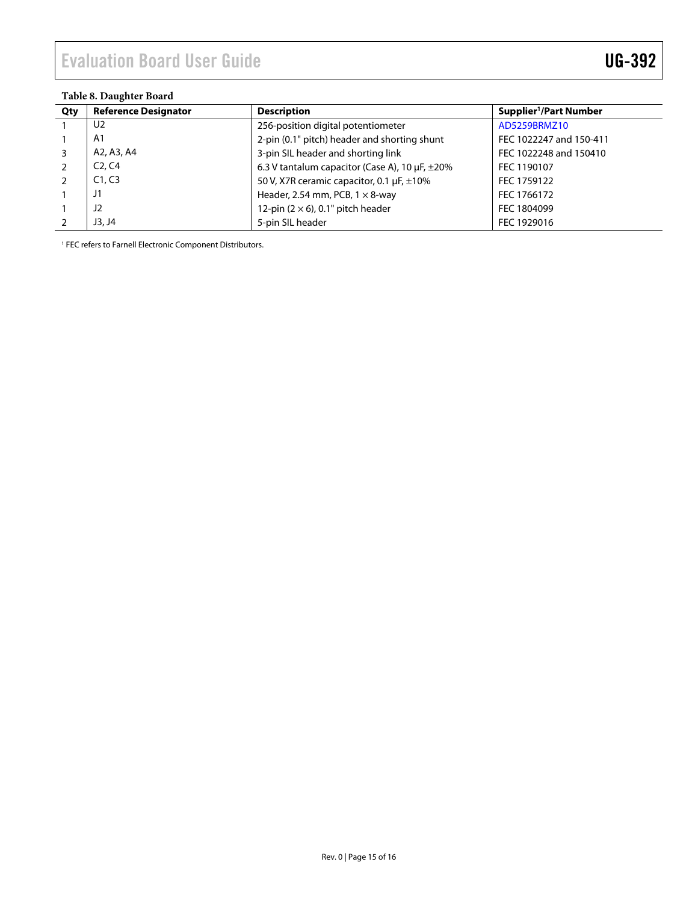#### **Table 8. Daughter Board**

| Qty | <b>Reference Designator</b>     | <b>Description</b>                                       | Supplier <sup>1</sup> /Part Number |
|-----|---------------------------------|----------------------------------------------------------|------------------------------------|
|     | U2                              | 256-position digital potentiometer                       | AD5259BRMZ10                       |
|     | A <sub>1</sub>                  | 2-pin (0.1" pitch) header and shorting shunt             | FEC 1022247 and 150-411            |
|     | A2, A3, A4                      | 3-pin SIL header and shorting link                       | FEC 1022248 and 150410             |
|     | C <sub>2</sub> , C <sub>4</sub> | 6.3 V tantalum capacitor (Case A), 10 $\mu$ F, $\pm$ 20% | FEC 1190107                        |
|     | C1, C3                          | 50 V, X7R ceramic capacitor, 0.1 µF, ±10%                | FEC 1759122                        |
|     | J1                              | Header, 2.54 mm, PCB, $1 \times 8$ -way                  | FEC 1766172                        |
|     | J <sub>2</sub>                  | 12-pin $(2 \times 6)$ , 0.1" pitch header                | FEC 1804099                        |
|     | J3, J4                          | 5-pin SIL header                                         | FEC 1929016                        |

<sup>1</sup> FEC refers to Farnell Electronic Component Distributors.